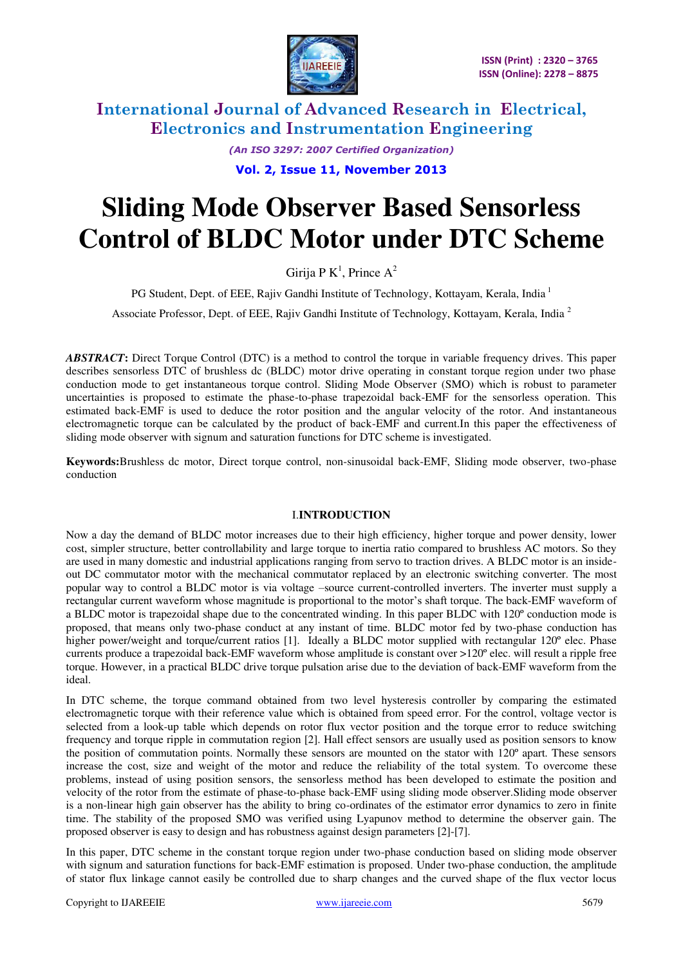

> *(An ISO 3297: 2007 Certified Organization)*  **Vol. 2, Issue 11, November 2013**

# **Sliding Mode Observer Based Sensorless Control of BLDC Motor under DTC Scheme**

Girija P K<sup>1</sup>, Prince A<sup>2</sup>

PG Student, Dept. of EEE, Rajiv Gandhi Institute of Technology, Kottayam, Kerala, India<sup>1</sup>

Associate Professor, Dept. of EEE, Rajiv Gandhi Institute of Technology, Kottayam, Kerala, India<sup>2</sup>

*ABSTRACT***:** Direct Torque Control (DTC) is a method to control the torque in variable frequency drives. This paper describes sensorless DTC of brushless dc (BLDC) motor drive operating in constant torque region under two phase conduction mode to get instantaneous torque control. Sliding Mode Observer (SMO) which is robust to parameter uncertainties is proposed to estimate the phase-to-phase trapezoidal back-EMF for the sensorless operation. This estimated back-EMF is used to deduce the rotor position and the angular velocity of the rotor. And instantaneous electromagnetic torque can be calculated by the product of back-EMF and current.In this paper the effectiveness of sliding mode observer with signum and saturation functions for DTC scheme is investigated.

**Keywords:**Brushless dc motor, Direct torque control, non-sinusoidal back-EMF, Sliding mode observer, two-phase conduction

#### I.**INTRODUCTION**

Now a day the demand of BLDC motor increases due to their high efficiency, higher torque and power density, lower cost, simpler structure, better controllability and large torque to inertia ratio compared to brushless AC motors. So they are used in many domestic and industrial applications ranging from servo to traction drives. A BLDC motor is an insideout DC commutator motor with the mechanical commutator replaced by an electronic switching converter. The most popular way to control a BLDC motor is via voltage –source current-controlled inverters. The inverter must supply a rectangular current waveform whose magnitude is proportional to the motor's shaft torque. The back-EMF waveform of a BLDC motor is trapezoidal shape due to the concentrated winding. In this paper BLDC with 120º conduction mode is proposed, that means only two-phase conduct at any instant of time. BLDC motor fed by two-phase conduction has higher power/weight and torque/current ratios [1]. Ideally a BLDC motor supplied with rectangular 120° elec. Phase currents produce a trapezoidal back-EMF waveform whose amplitude is constant over >120º elec. will result a ripple free torque. However, in a practical BLDC drive torque pulsation arise due to the deviation of back-EMF waveform from the ideal.

In DTC scheme, the torque command obtained from two level hysteresis controller by comparing the estimated electromagnetic torque with their reference value which is obtained from speed error. For the control, voltage vector is selected from a look-up table which depends on rotor flux vector position and the torque error to reduce switching frequency and torque ripple in commutation region [2]. Hall effect sensors are usually used as position sensors to know the position of commutation points. Normally these sensors are mounted on the stator with 120º apart. These sensors increase the cost, size and weight of the motor and reduce the reliability of the total system. To overcome these problems, instead of using position sensors, the sensorless method has been developed to estimate the position and velocity of the rotor from the estimate of phase-to-phase back-EMF using sliding mode observer.Sliding mode observer is a non-linear high gain observer has the ability to bring co-ordinates of the estimator error dynamics to zero in finite time. The stability of the proposed SMO was verified using Lyapunov method to determine the observer gain. The proposed observer is easy to design and has robustness against design parameters [2]-[7].

In this paper, DTC scheme in the constant torque region under two-phase conduction based on sliding mode observer with signum and saturation functions for back-EMF estimation is proposed. Under two-phase conduction, the amplitude of stator flux linkage cannot easily be controlled due to sharp changes and the curved shape of the flux vector locus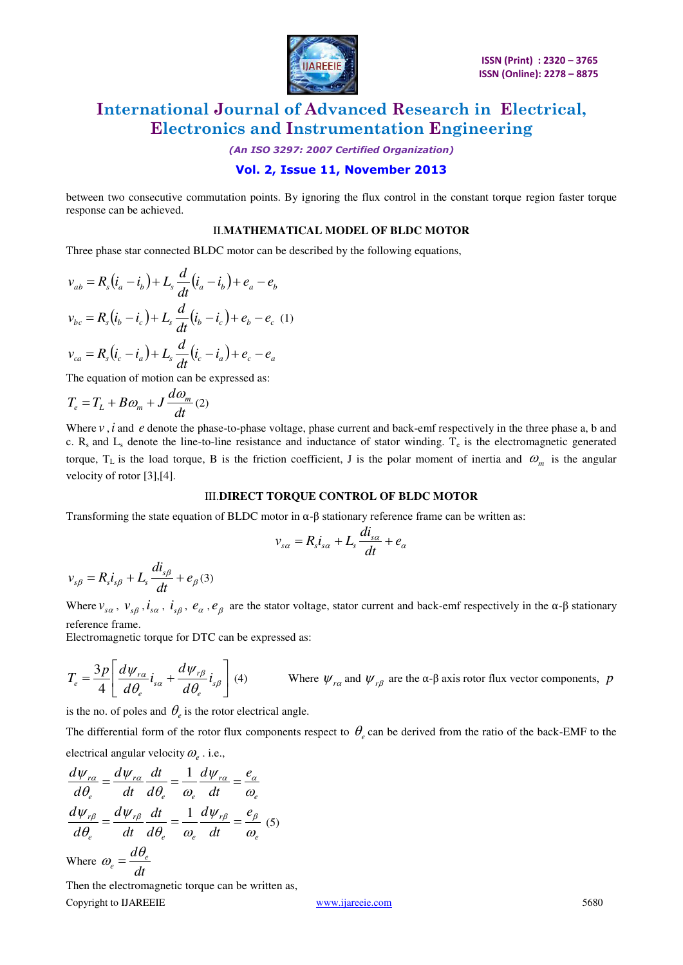

*(An ISO 3297: 2007 Certified Organization)*  **Vol. 2, Issue 11, November 2013** 

between two consecutive commutation points. By ignoring the flux control in the constant torque region faster torque response can be achieved.

#### II.**MATHEMATICAL MODEL OF BLDC MOTOR**

Three phase star connected BLDC motor can be described by the following equations,

$$
v_{ab} = R_s (i_a - i_b) + L_s \frac{d}{dt} (i_a - i_b) + e_a - e_b
$$
  

$$
v_{bc} = R_s (i_b - i_c) + L_s \frac{d}{dt} (i_b - i_c) + e_b - e_c
$$
 (1)  

$$
v_{ca} = R_s (i_c - i_a) + L_s \frac{d}{dt} (i_c - i_a) + e_c - e_a
$$

The equation of motion can be expressed as:

$$
T_e = T_L + B\omega_m + J\frac{d\omega_m}{dt}(2)
$$

Where *v*, *i* and *e* denote the phase-to-phase voltage, phase current and back-emf respectively in the three phase a, b and c.  $R_s$  and  $L_s$  denote the line-to-line resistance and inductance of stator winding.  $T_e$  is the electromagnetic generated torque,  $T_L$  is the load torque, B is the friction coefficient, J is the polar moment of inertia and  $\omega_m$  is the angular velocity of rotor [3],[4].

#### III.**DIRECT TORQUE CONTROL OF BLDC MOTOR**

Transforming the state equation of BLDC motor in  $\alpha$ -β stationary reference frame can be written as:

$$
v_{s\alpha} = R_s i_{s\alpha} + L_s \frac{di_{s\alpha}}{dt} + e_\alpha
$$

$$
v_{s\beta} = R_s i_{s\beta} + L_s \frac{di_{s\beta}}{dt} + e_{\beta}(3)
$$

Where  $v_{sa}$ ,  $v_{s\beta}$ ,  $i_{sa}$ ,  $i_{s\beta}$ ,  $e_{\alpha}$ ,  $e_{\beta}$  are the stator voltage, stator current and back-emf respectively in the  $\alpha$ - $\beta$  stationary reference frame.

Electromagnetic torque for DTC can be expressed as:

$$
T_e = \frac{3p}{4} \left[ \frac{d\psi_{r\alpha}}{d\theta_e} i_{s\alpha} + \frac{d\psi_{r\beta}}{d\theta_e} i_{s\beta} \right] (4)
$$
 Where  $\psi_{r\alpha}$  and  $\psi_{r\beta}$  are the  $\alpha$ - $\beta$  axis rotor flux vector components, p

is the no. of poles and  $\theta_e$  is the rotor electrical angle.

The differential form of the rotor flux components respect to  $\theta_e$  can be derived from the ratio of the back-EMF to the electrical angular velocity  $\omega_e$  . i.e.,

$$
\frac{d\psi_{r\alpha}}{d\theta_e} = \frac{d\psi_{r\alpha}}{dt} \frac{dt}{d\theta_e} = \frac{1}{\omega_e} \frac{d\psi_{r\alpha}}{dt} = \frac{e_{\alpha}}{\omega_e}
$$

$$
\frac{d\psi_{r\beta}}{d\theta_e} = \frac{d\psi_{r\beta}}{dt} \frac{dt}{d\theta_e} = \frac{1}{\omega_e} \frac{d\psi_{r\beta}}{dt} = \frac{e_{\beta}}{\omega_e} \text{ (5)}
$$
Where  $\omega_e = \frac{d\theta_e}{dt}$ 

Copyright to IJAREEIE [www.ijareeie.com](http://www.ijareeie.com/) 5680 Then the electromagnetic torque can be written as,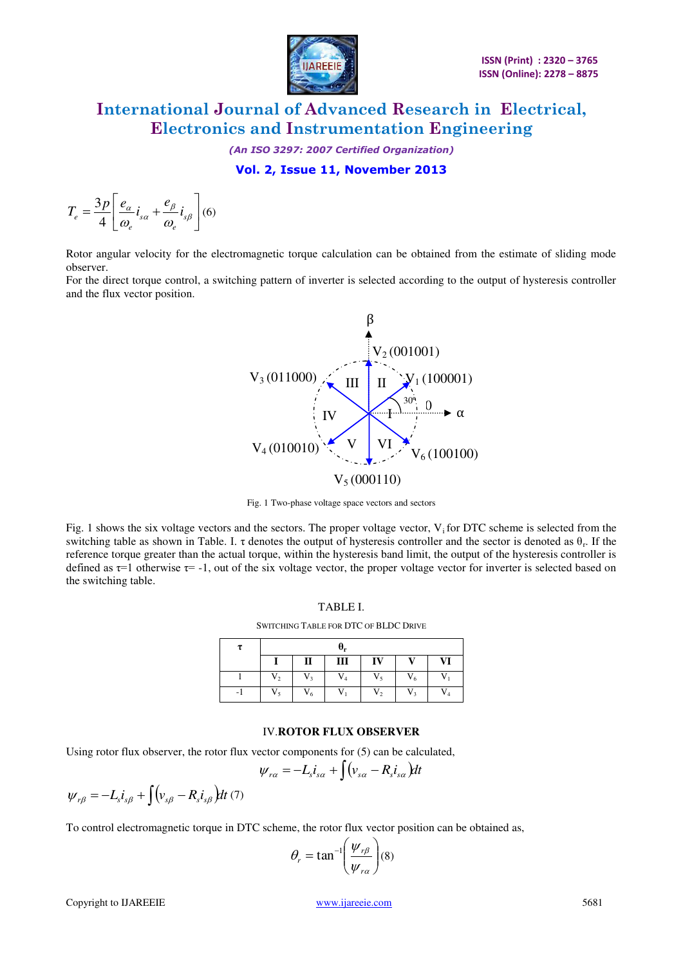

*(An ISO 3297: 2007 Certified Organization)*  **Vol. 2, Issue 11, November 2013** 

$$
T_e = \frac{3p}{4} \left[ \frac{e_\alpha}{\omega_e} i_{s\alpha} + \frac{e_\beta}{\omega_e} i_{s\beta} \right] (6)
$$

Rotor angular velocity for the electromagnetic torque calculation can be obtained from the estimate of sliding mode observer.

For the direct torque control, a switching pattern of inverter is selected according to the output of hysteresis controller and the flux vector position.



Fig. 1 Two-phase voltage space vectors and sectors

Fig. 1 shows the six voltage vectors and the sectors. The proper voltage vector,  $V_i$  for DTC scheme is selected from the switching table as shown in Table. I.  $\tau$  denotes the output of hysteresis controller and the sector is denoted as  $\theta_r$ . If the reference torque greater than the actual torque, within the hysteresis band limit, the output of the hysteresis controller is defined as  $\tau$ =1 otherwise  $\tau$ = -1, out of the six voltage vector, the proper voltage vector for inverter is selected based on the switching table.

|--|--|

SWITCHING TABLE FOR DTC OF BLDC DRIVE

|                |                | $\theta_r$ |                |                |       |
|----------------|----------------|------------|----------------|----------------|-------|
|                | П              | Ш          | IV             | $\mathbf{V}$   | VI    |
| V <sub>2</sub> | V <sub>3</sub> | $V_4$      | $V_{\rm s}$    | $V_6$          | V.    |
| $V_{\epsilon}$ | $V_6$          | V          | V <sub>2</sub> | V <sub>2</sub> | $V_4$ |

#### IV.**ROTOR FLUX OBSERVER**

Using rotor flux observer, the rotor flux vector components for (5) can be calculated,

$$
\psi_{r\alpha} = -L_s i_{s\alpha} + \int (v_{s\alpha} - R_s i_{s\alpha}) dt
$$

$$
\psi_{r\beta}=-L_{s}i_{s\beta}+\int\bigl(v_{s\beta}-R_{s}i_{s\beta}\bigr)dt\,(7)
$$

To control electromagnetic torque in DTC scheme, the rotor flux vector position can be obtained as,

$$
\theta_r = \tan^{-1}\left(\frac{\psi_{r\beta}}{\psi_{r\alpha}}\right)(8)
$$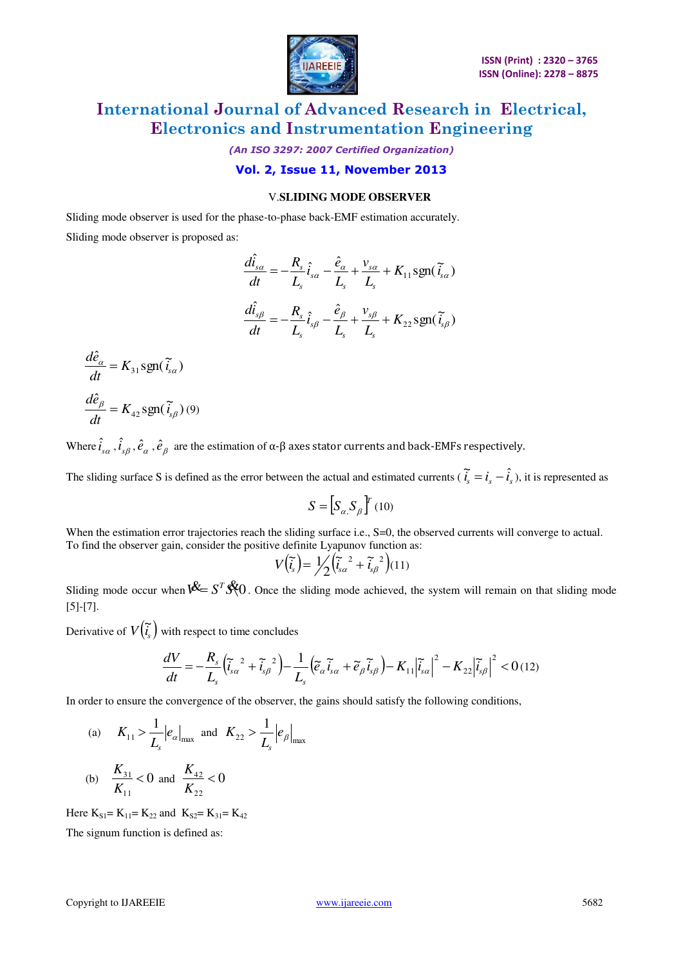

*(An ISO 3297: 2007 Certified Organization)* 

**Vol. 2, Issue 11, November 2013** 

### V.**SLIDING MODE OBSERVER**

Sliding mode observer is used for the phase-to-phase back-EMF estimation accurately.

Sliding mode observer is proposed as:

$$
\frac{d\hat{i}_{s\alpha}}{dt} = -\frac{R_s}{L_s}\hat{i}_{s\alpha} - \frac{\hat{e}_{\alpha}}{L_s} + \frac{v_{s\alpha}}{L_s} + K_{11}\text{sgn}(\tilde{i}_{s\alpha})
$$

$$
\frac{d\hat{i}_{s\beta}}{dt} = -\frac{R_s}{L_s}\hat{i}_{s\beta} - \frac{\hat{e}_{\beta}}{L_s} + \frac{v_{s\beta}}{L_s} + K_{22}\text{sgn}(\tilde{i}_{s\beta})
$$

$$
\frac{d\hat{e}_{\alpha}}{dt} = K_{31} \text{sgn}(\tilde{i}_{s\alpha})
$$

$$
\frac{d\hat{e}_{\beta}}{dt} = K_{42} \text{sgn}(\tilde{i}_{s\beta})
$$
(9)

Where  $\hat{i}_{s\alpha}$  ,  $\hat{i}_{s\beta}$  ,  $\hat{e}_\alpha$  ,  $\hat{e}_\beta$  are the estimation of  $\alpha$ - $\beta$  axes stator currents and back-EMFs respectively.

The sliding surface S is defined as the error between the actual and estimated currents ( $\tilde{i}_s = i_s - \hat{i}_s$ ), it is represented as

$$
S = \left[S_{\alpha,} S_{\beta} \right]^r (10)
$$

When the estimation error trajectories reach the sliding surface i.e., S=0, the observed currents will converge to actual. To find the observer gain, consider the positive definite Lyapunov function as:

$$
V(\widetilde{\tilde{t}_s}) = \frac{1}{2} \left( \widetilde{\tilde{t}_{s\alpha}}^2 + \widetilde{t}_{s\beta}^2 \right) (11)
$$

Sliding mode occur when  $\mathcal{K} = S^T \mathcal{K} 0$ . Once the sliding mode achieved, the system will remain on that sliding mode [5]-[7].

Derivative of  $V(\tilde{i}_s)$  with respect to time concludes

$$
\frac{dV}{dt} = -\frac{R_s}{L_s} \left( \tilde{i}_{s\alpha}^2 + \tilde{i}_{s\beta}^2 \right) - \frac{1}{L_s} \left( \tilde{e}_{\alpha} \tilde{i}_{s\alpha} + \tilde{e}_{\beta} \tilde{i}_{s\beta} \right) - K_{11} \left| \tilde{i}_{s\alpha} \right|^2 - K_{22} \left| \tilde{i}_{s\beta} \right|^2 < 0 \, (12)
$$

In order to ensure the convergence of the observer, the gains should satisfy the following conditions,

(a)  $K_{11} > -e_{\alpha}|_{\text{max}}$  $rac{1}{\epsilon}$ <sub>e</sub> *L K s*  $>$  $\frac{1}{L}\left|e_{\alpha}\right|_{\max}$  and  $K_{22} > \frac{1}{L}\left|e_{\beta}\right|_{\max}$ 1 *e L K s*  $>$ 

(b) 
$$
\frac{K_{31}}{K_{11}} < 0
$$
 and  $\frac{K_{42}}{K_{22}} < 0$ 

Here  $K_{S1} = K_{11} = K_{22}$  and  $K_{S2} = K_{31} = K_{42}$ 

The signum function is defined as: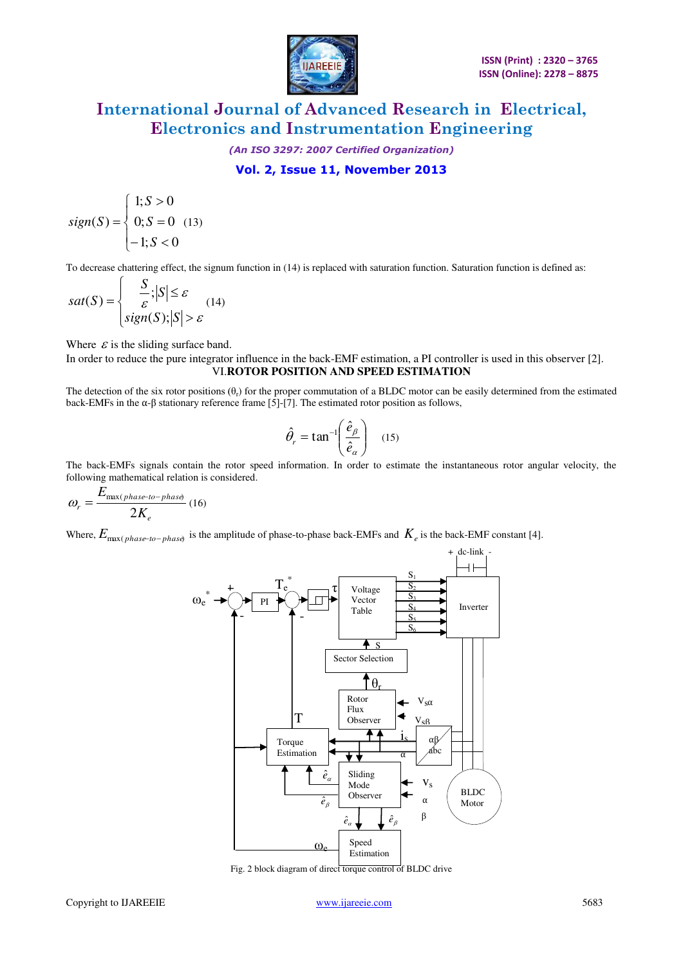

*(An ISO 3297: 2007 Certified Organization)*  **Vol. 2, Issue 11, November 2013** 

$$
sign(S) = \begin{cases} 1; S > 0 \\ 0; S = 0 \\ -1; S < 0 \end{cases}
$$
 (13)

To decrease chattering effect, the signum function in (14) is replaced with saturation function. Saturation function is defined as:

$$
sat(S) = \begin{cases} \frac{S}{\varepsilon}; |S| \le \varepsilon\\ sign(S); |S| > \varepsilon \end{cases}
$$
(14)

Where  $\varepsilon$  is the sliding surface band.

In order to reduce the pure integrator influence in the back-EMF estimation, a PI controller is used in this observer [2]. VI.**ROTOR POSITION AND SPEED ESTIMATION**

The detection of the six rotor positions  $(\theta_r)$  for the proper commutation of a BLDC motor can be easily determined from the estimated back-EMFs in the  $\alpha$ -β stationary reference frame [5]-[7]. The estimated rotor position as follows,

$$
\hat{\theta}_r = \tan^{-1} \left( \frac{\hat{e}_\beta}{\hat{e}_\alpha} \right) \quad (15)
$$

The back-EMFs signals contain the rotor speed information. In order to estimate the instantaneous rotor angular velocity, the following mathematical relation is considered.

$$
\omega_r = \frac{E_{\max(phase-to-phase)}}{2K_e} (16)
$$

Where,  $E_{\text{max}(phase-to-phase)}$  is the amplitude of phase-to-phase back-EMFs and  $K_e$  is the back-EMF constant [4].



Fig. 2 block diagram of direct torque control of BLDC drive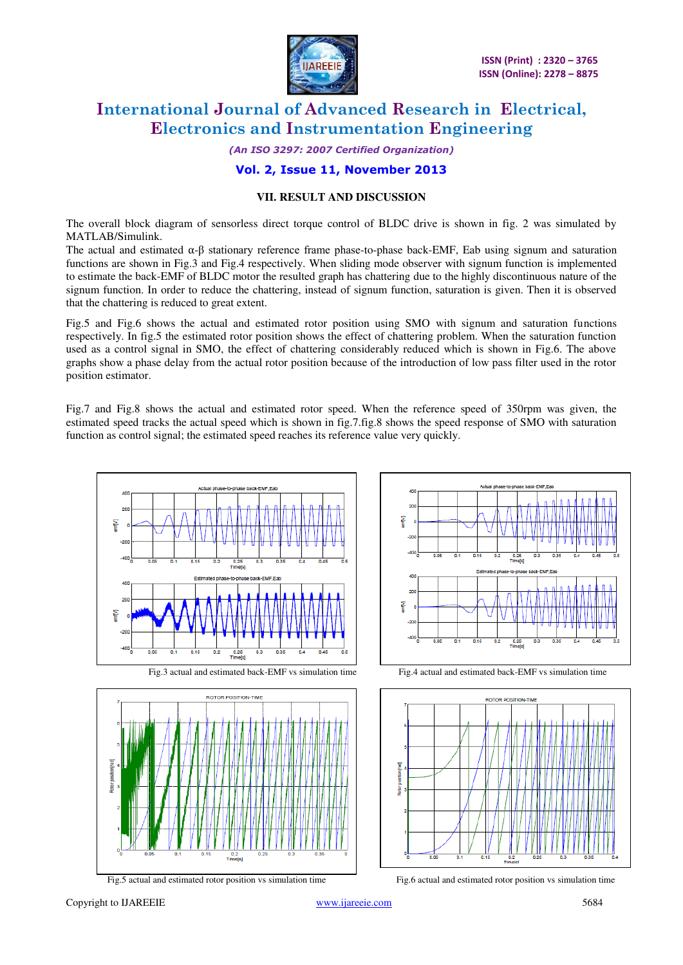

*(An ISO 3297: 2007 Certified Organization)* 

### **Vol. 2, Issue 11, November 2013**

### **VII. RESULT AND DISCUSSION**

The overall block diagram of sensorless direct torque control of BLDC drive is shown in fig. 2 was simulated by MATLAB/Simulink.

The actual and estimated  $\alpha$ -β stationary reference frame phase-to-phase back-EMF, Eab using signum and saturation functions are shown in Fig.3 and Fig.4 respectively. When sliding mode observer with signum function is implemented to estimate the back-EMF of BLDC motor the resulted graph has chattering due to the highly discontinuous nature of the signum function. In order to reduce the chattering, instead of signum function, saturation is given. Then it is observed that the chattering is reduced to great extent.

Fig.5 and Fig.6 shows the actual and estimated rotor position using SMO with signum and saturation functions respectively. In fig.5 the estimated rotor position shows the effect of chattering problem. When the saturation function used as a control signal in SMO, the effect of chattering considerably reduced which is shown in Fig.6. The above graphs show a phase delay from the actual rotor position because of the introduction of low pass filter used in the rotor position estimator.

Fig.7 and Fig.8 shows the actual and estimated rotor speed. When the reference speed of 350rpm was given, the estimated speed tracks the actual speed which is shown in fig.7.fig.8 shows the speed response of SMO with saturation function as control signal; the estimated speed reaches its reference value very quickly.





Fig.3 actual and estimated back-EMF vs simulation time Fig.4 actual and estimated back-EMF vs simulation time





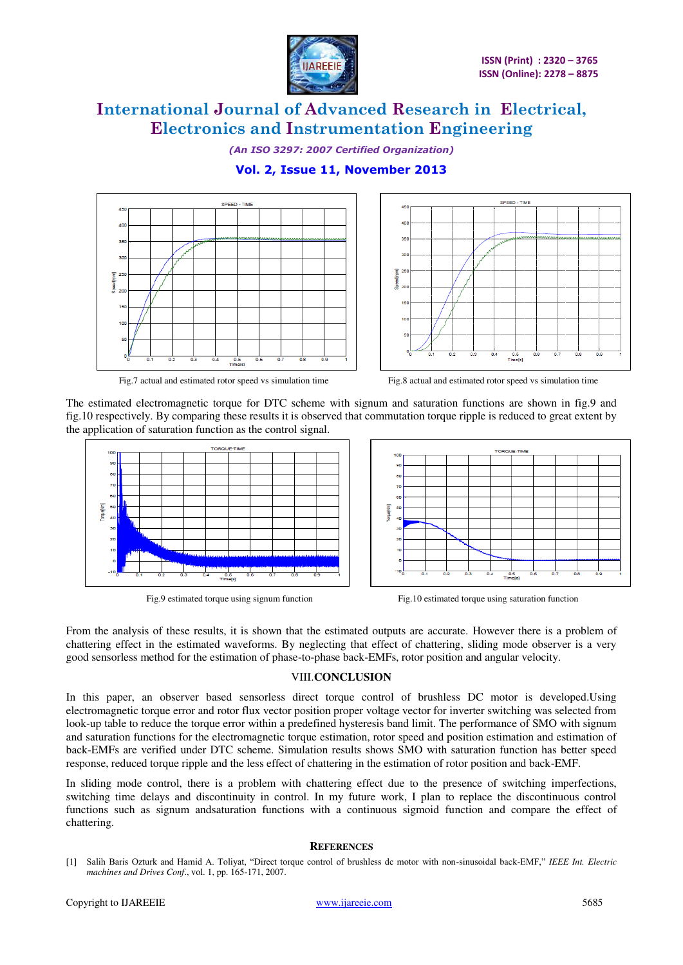

*(An ISO 3297: 2007 Certified Organization)* 

### **Vol. 2, Issue 11, November 2013**





**SPEED - TIME** 

Fig.7 actual and estimated rotor speed vs simulation time Fig.8 actual and estimated rotor speed vs simulation time



The estimated electromagnetic torque for DTC scheme with signum and saturation functions are shown in fig.9 and fig.10 respectively. By comparing these results it is observed that commutation torque ripple is reduced to great extent by the application of saturation function as the control signal.





Fig.9 estimated torque using signum function Fig.10 estimated torque using saturation function

From the analysis of these results, it is shown that the estimated outputs are accurate. However there is a problem of chattering effect in the estimated waveforms. By neglecting that effect of chattering, sliding mode observer is a very good sensorless method for the estimation of phase-to-phase back-EMFs, rotor position and angular velocity.

#### VIII.**CONCLUSION**

In this paper, an observer based sensorless direct torque control of brushless DC motor is developed.Using electromagnetic torque error and rotor flux vector position proper voltage vector for inverter switching was selected from look-up table to reduce the torque error within a predefined hysteresis band limit. The performance of SMO with signum and saturation functions for the electromagnetic torque estimation, rotor speed and position estimation and estimation of back-EMFs are verified under DTC scheme. Simulation results shows SMO with saturation function has better speed response, reduced torque ripple and the less effect of chattering in the estimation of rotor position and back-EMF.

In sliding mode control, there is a problem with chattering effect due to the presence of switching imperfections, switching time delays and discontinuity in control. In my future work, I plan to replace the discontinuous control functions such as signum andsaturation functions with a continuous sigmoid function and compare the effect of chattering.

#### **REFERENCES**

[1] Salih Baris Ozturk and Hamid A. Toliyat, "Direct torque control of brushless dc motor with non-sinusoidal back-EMF," *IEEE Int. Electric machines and Drives Conf*., vol. 1, pp. 165-171, 2007.